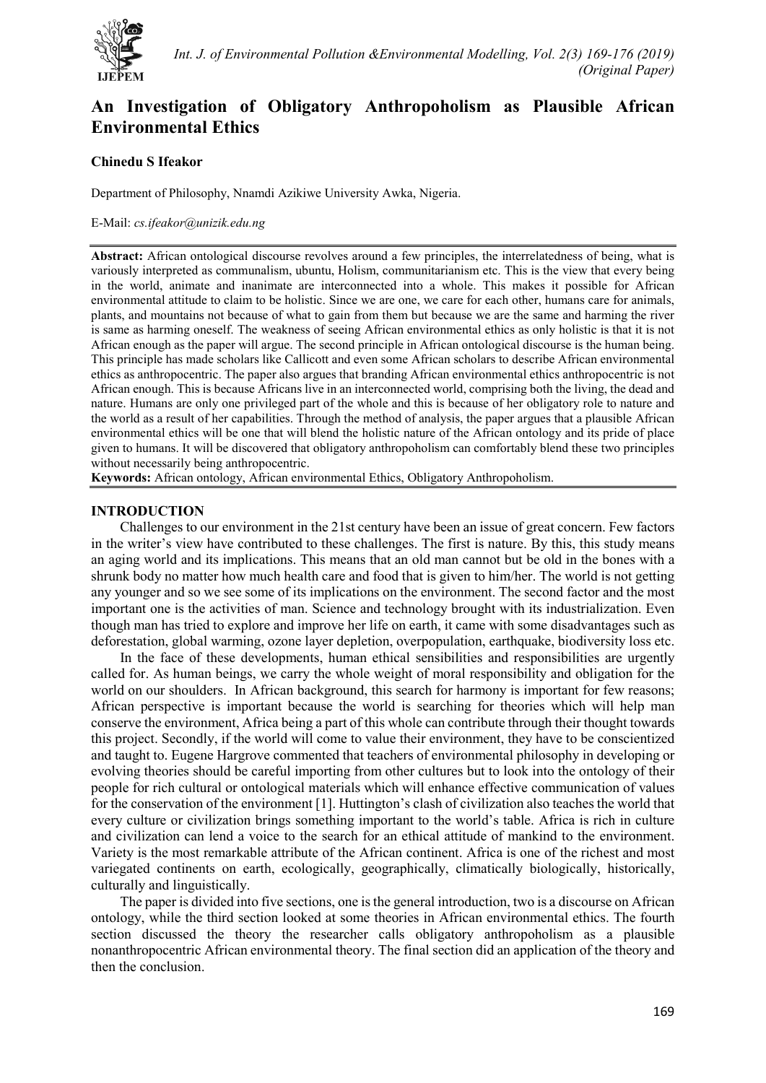

# **An Investigation of Obligatory Anthropoholism as Plausible African Environmental Ethics**

# **Chinedu S Ifeakor**

Department of Philosophy, Nnamdi Azikiwe University Awka, Nigeria.

### E-Mail: *cs.ifeakor@unizik.edu.ng*

**Abstract:** African ontological discourse revolves around a few principles, the interrelatedness of being, what is variously interpreted as communalism, ubuntu, Holism, communitarianism etc. This is the view that every being in the world, animate and inanimate are interconnected into a whole. This makes it possible for African environmental attitude to claim to be holistic. Since we are one, we care for each other, humans care for animals, plants, and mountains not because of what to gain from them but because we are the same and harming the river is same as harming oneself. The weakness of seeing African environmental ethics as only holistic is that it is not African enough as the paper will argue. The second principle in African ontological discourse is the human being. This principle has made scholars like Callicott and even some African scholars to describe African environmental ethics as anthropocentric. The paper also argues that branding African environmental ethics anthropocentric is not African enough. This is because Africans live in an interconnected world, comprising both the living, the dead and nature. Humans are only one privileged part of the whole and this is because of her obligatory role to nature and the world as a result of her capabilities. Through the method of analysis, the paper argues that a plausible African environmental ethics will be one that will blend the holistic nature of the African ontology and its pride of place given to humans. It will be discovered that obligatory anthropoholism can comfortably blend these two principles without necessarily being anthropocentric.

**Keywords:** African ontology, African environmental Ethics, Obligatory Anthropoholism.

## **INTRODUCTION**

Challenges to our environment in the 21st century have been an issue of great concern. Few factors in the writer's view have contributed to these challenges. The first is nature. By this, this study means an aging world and its implications. This means that an old man cannot but be old in the bones with a shrunk body no matter how much health care and food that is given to him/her. The world is not getting any younger and so we see some of its implications on the environment. The second factor and the most important one is the activities of man. Science and technology brought with its industrialization. Even though man has tried to explore and improve her life on earth, it came with some disadvantages such as deforestation, global warming, ozone layer depletion, overpopulation, earthquake, biodiversity loss etc.

In the face of these developments, human ethical sensibilities and responsibilities are urgently called for. As human beings, we carry the whole weight of moral responsibility and obligation for the world on our shoulders. In African background, this search for harmony is important for few reasons; African perspective is important because the world is searching for theories which will help man conserve the environment, Africa being a part of this whole can contribute through their thought towards this project. Secondly, if the world will come to value their environment, they have to be conscientized and taught to. Eugene Hargrove commented that teachers of environmental philosophy in developing or evolving theories should be careful importing from other cultures but to look into the ontology of their people for rich cultural or ontological materials which will enhance effective communication of values for the conservation of the environment [1]. Huttington's clash of civilization also teaches the world that every culture or civilization brings something important to the world's table. Africa is rich in culture and civilization can lend a voice to the search for an ethical attitude of mankind to the environment. Variety is the most remarkable attribute of the African continent. Africa is one of the richest and most variegated continents on earth, ecologically, geographically, climatically biologically, historically, culturally and linguistically.

The paper is divided into five sections, one is the general introduction, two is a discourse on African ontology, while the third section looked at some theories in African environmental ethics. The fourth section discussed the theory the researcher calls obligatory anthropoholism as a plausible nonanthropocentric African environmental theory. The final section did an application of the theory and then the conclusion.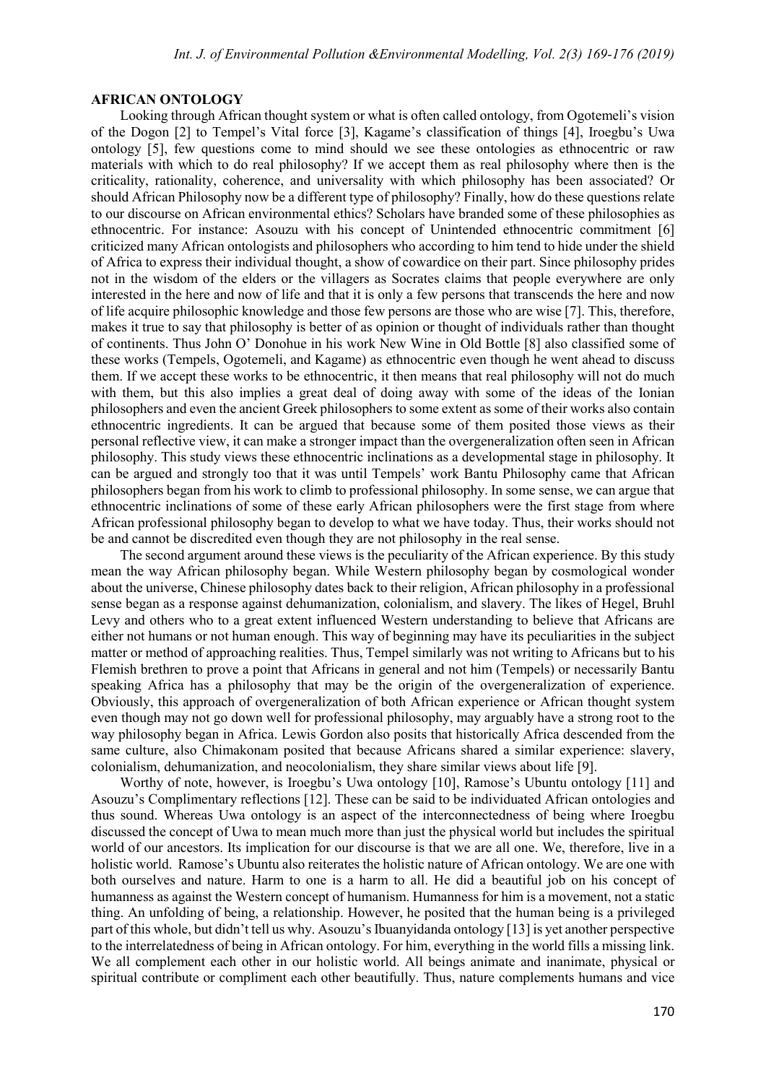# **AFRICAN ONTOLOGY**

Looking through African thought system or what is often called ontology, from Ogotemeli's vision of the Dogon [2] to Tempel's Vital force [3], Kagame's classification of things [4], Iroegbu's Uwa ontology [5], few questions come to mind should we see these ontologies as ethnocentric or raw materials with which to do real philosophy? If we accept them as real philosophy where then is the criticality, rationality, coherence, and universality with which philosophy has been associated? Or should African Philosophy now be a different type of philosophy? Finally, how do these questions relate to our discourse on African environmental ethics? Scholars have branded some of these philosophies as ethnocentric. For instance: Asouzu with his concept of Unintended ethnocentric commitment [6] criticized many African ontologists and philosophers who according to him tend to hide under the shield of Africa to express their individual thought, a show of cowardice on their part. Since philosophy prides not in the wisdom of the elders or the villagers as Socrates claims that people everywhere are only interested in the here and now of life and that it is only a few persons that transcends the here and now of life acquire philosophic knowledge and those few persons are those who are wise [7]. This, therefore, makes it true to say that philosophy is better of as opinion or thought of individuals rather than thought of continents. Thus John O' Donohue in his work New Wine in Old Bottle [8] also classified some of these works (Tempels, Ogotemeli, and Kagame) as ethnocentric even though he went ahead to discuss them. If we accept these works to be ethnocentric, it then means that real philosophy will not do much with them, but this also implies a great deal of doing away with some of the ideas of the Ionian philosophers and even the ancient Greek philosophers to some extent as some of their works also contain ethnocentric ingredients. It can be argued that because some of them posited those views as their personal reflective view, it can make a stronger impact than the overgeneralization often seen in African philosophy. This study views these ethnocentric inclinations as a developmental stage in philosophy. It can be argued and strongly too that it was until Tempels' work Bantu Philosophy came that African philosophers began from his work to climb to professional philosophy. In some sense, we can argue that ethnocentric inclinations of some of these early African philosophers were the first stage from where African professional philosophy began to develop to what we have today. Thus, their works should not be and cannot be discredited even though they are not philosophy in the real sense.

The second argument around these views is the peculiarity of the African experience. By this study mean the way African philosophy began. While Western philosophy began by cosmological wonder about the universe, Chinese philosophy dates back to their religion, African philosophy in a professional sense began as a response against dehumanization, colonialism, and slavery. The likes of Hegel, Bruhl Levy and others who to a great extent influenced Western understanding to believe that Africans are either not humans or not human enough. This way of beginning may have its peculiarities in the subject matter or method of approaching realities. Thus, Tempel similarly was not writing to Africans but to his Flemish brethren to prove a point that Africans in general and not him (Tempels) or necessarily Bantu speaking Africa has a philosophy that may be the origin of the overgeneralization of experience. Obviously, this approach of overgeneralization of both African experience or African thought system even though may not go down well for professional philosophy, may arguably have a strong root to the way philosophy began in Africa. Lewis Gordon also posits that historically Africa descended from the same culture, also Chimakonam posited that because Africans shared a similar experience: slavery, colonialism, dehumanization, and neocolonialism, they share similar views about life [9].

Worthy of note, however, is Iroegbu's Uwa ontology [10], Ramose's Ubuntu ontology [11] and Asouzu's Complimentary reflections [12]. These can be said to be individuated African ontologies and thus sound. Whereas Uwa ontology is an aspect of the interconnectedness of being where Iroegbu discussed the concept of Uwa to mean much more than just the physical world but includes the spiritual world of our ancestors. Its implication for our discourse is that we are all one. We, therefore, live in a holistic world. Ramose's Ubuntu also reiterates the holistic nature of African ontology. We are one with both ourselves and nature. Harm to one is a harm to all. He did a beautiful job on his concept of humanness as against the Western concept of humanism. Humanness for him is a movement, not a static thing. An unfolding of being, a relationship. However, he posited that the human being is a privileged part of this whole, but didn't tell us why. Asouzu's Ibuanyidanda ontology [13] is yet another perspective to the interrelatedness of being in African ontology. For him, everything in the world fills a missing link. We all complement each other in our holistic world. All beings animate and inanimate, physical or spiritual contribute or compliment each other beautifully. Thus, nature complements humans and vice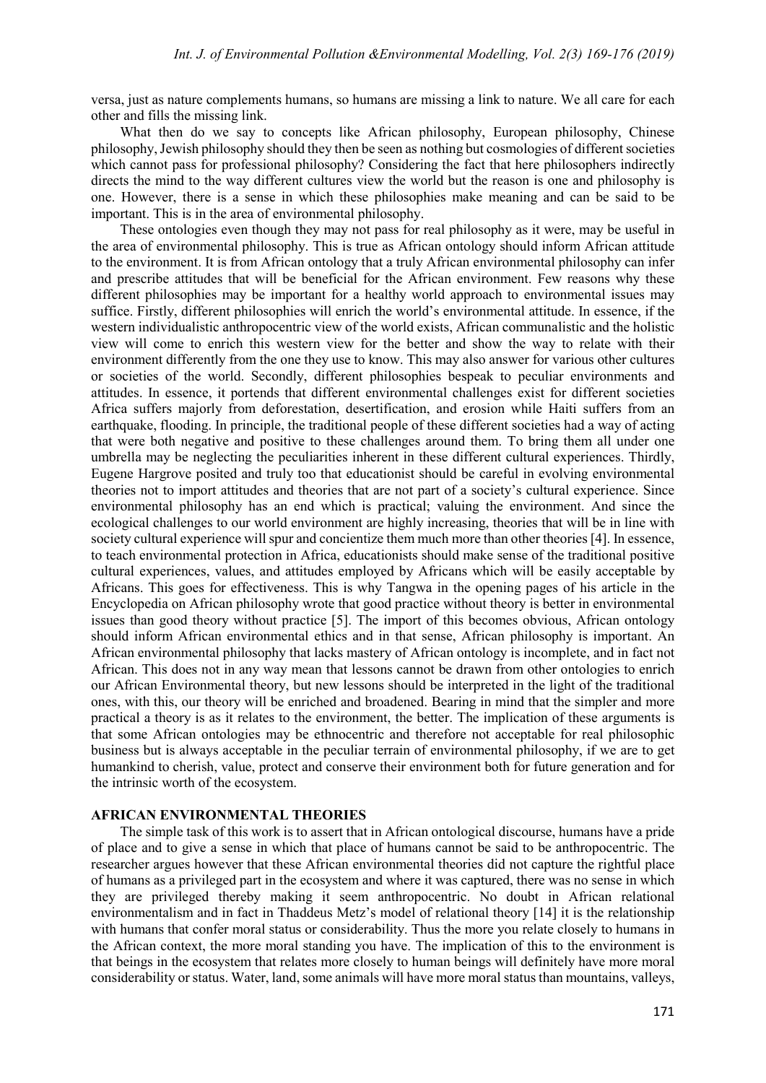versa, just as nature complements humans, so humans are missing a link to nature. We all care for each other and fills the missing link.

What then do we say to concepts like African philosophy, European philosophy, Chinese philosophy, Jewish philosophy should they then be seen as nothing but cosmologies of different societies which cannot pass for professional philosophy? Considering the fact that here philosophers indirectly directs the mind to the way different cultures view the world but the reason is one and philosophy is one. However, there is a sense in which these philosophies make meaning and can be said to be important. This is in the area of environmental philosophy.

These ontologies even though they may not pass for real philosophy as it were, may be useful in the area of environmental philosophy. This is true as African ontology should inform African attitude to the environment. It is from African ontology that a truly African environmental philosophy can infer and prescribe attitudes that will be beneficial for the African environment. Few reasons why these different philosophies may be important for a healthy world approach to environmental issues may suffice. Firstly, different philosophies will enrich the world's environmental attitude. In essence, if the western individualistic anthropocentric view of the world exists, African communalistic and the holistic view will come to enrich this western view for the better and show the way to relate with their environment differently from the one they use to know. This may also answer for various other cultures or societies of the world. Secondly, different philosophies bespeak to peculiar environments and attitudes. In essence, it portends that different environmental challenges exist for different societies Africa suffers majorly from deforestation, desertification, and erosion while Haiti suffers from an earthquake, flooding. In principle, the traditional people of these different societies had a way of acting that were both negative and positive to these challenges around them. To bring them all under one umbrella may be neglecting the peculiarities inherent in these different cultural experiences. Thirdly, Eugene Hargrove posited and truly too that educationist should be careful in evolving environmental theories not to import attitudes and theories that are not part of a society's cultural experience. Since environmental philosophy has an end which is practical; valuing the environment. And since the ecological challenges to our world environment are highly increasing, theories that will be in line with society cultural experience will spur and concientize them much more than other theories [4]. In essence, to teach environmental protection in Africa, educationists should make sense of the traditional positive cultural experiences, values, and attitudes employed by Africans which will be easily acceptable by Africans. This goes for effectiveness. This is why Tangwa in the opening pages of his article in the Encyclopedia on African philosophy wrote that good practice without theory is better in environmental issues than good theory without practice [5]. The import of this becomes obvious, African ontology should inform African environmental ethics and in that sense, African philosophy is important. An African environmental philosophy that lacks mastery of African ontology is incomplete, and in fact not African. This does not in any way mean that lessons cannot be drawn from other ontologies to enrich our African Environmental theory, but new lessons should be interpreted in the light of the traditional ones, with this, our theory will be enriched and broadened. Bearing in mind that the simpler and more practical a theory is as it relates to the environment, the better. The implication of these arguments is that some African ontologies may be ethnocentric and therefore not acceptable for real philosophic business but is always acceptable in the peculiar terrain of environmental philosophy, if we are to get humankind to cherish, value, protect and conserve their environment both for future generation and for the intrinsic worth of the ecosystem.

#### **AFRICAN ENVIRONMENTAL THEORIES**

The simple task of this work is to assert that in African ontological discourse, humans have a pride of place and to give a sense in which that place of humans cannot be said to be anthropocentric. The researcher argues however that these African environmental theories did not capture the rightful place of humans as a privileged part in the ecosystem and where it was captured, there was no sense in which they are privileged thereby making it seem anthropocentric. No doubt in African relational environmentalism and in fact in Thaddeus Metz's model of relational theory [14] it is the relationship with humans that confer moral status or considerability. Thus the more you relate closely to humans in the African context, the more moral standing you have. The implication of this to the environment is that beings in the ecosystem that relates more closely to human beings will definitely have more moral considerability or status. Water, land, some animals will have more moral status than mountains, valleys,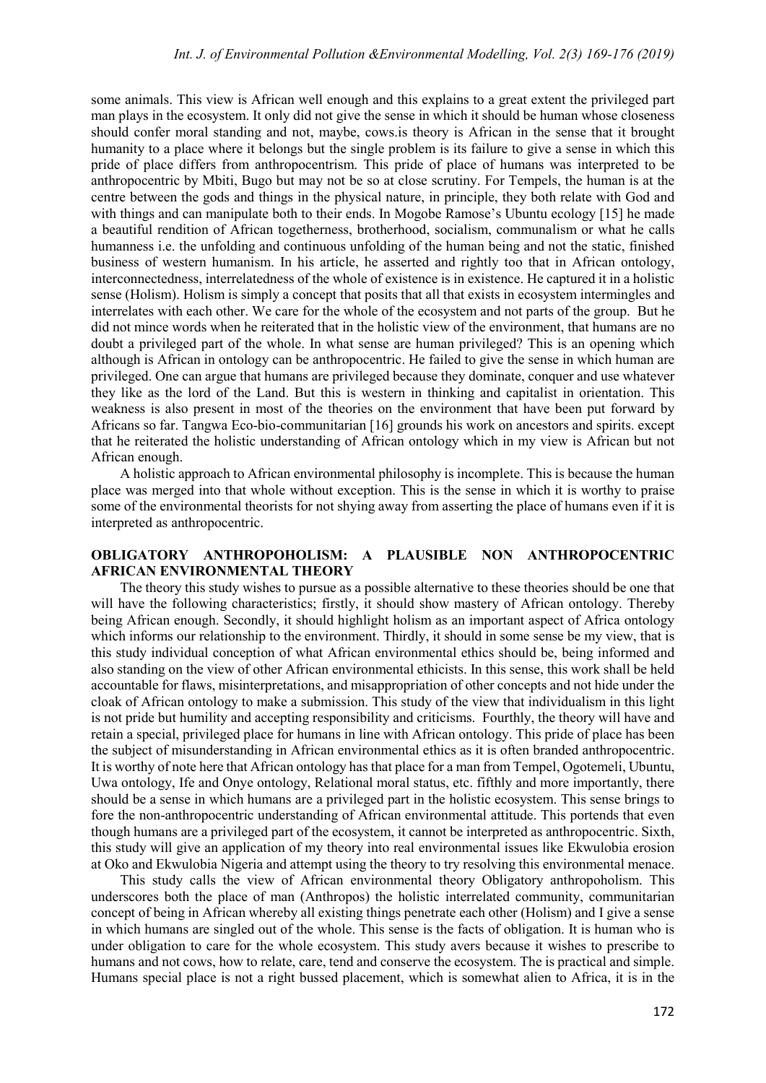some animals. This view is African well enough and this explains to a great extent the privileged part man plays in the ecosystem. It only did not give the sense in which it should be human whose closeness should confer moral standing and not, maybe, cows.is theory is African in the sense that it brought humanity to a place where it belongs but the single problem is its failure to give a sense in which this pride of place differs from anthropocentrism. This pride of place of humans was interpreted to be anthropocentric by Mbiti, Bugo but may not be so at close scrutiny. For Tempels, the human is at the centre between the gods and things in the physical nature, in principle, they both relate with God and with things and can manipulate both to their ends. In Mogobe Ramose's Ubuntu ecology [15] he made a beautiful rendition of African togetherness, brotherhood, socialism, communalism or what he calls humanness i.e. the unfolding and continuous unfolding of the human being and not the static, finished business of western humanism. In his article, he asserted and rightly too that in African ontology, interconnectedness, interrelatedness of the whole of existence is in existence. He captured it in a holistic sense (Holism). Holism is simply a concept that posits that all that exists in ecosystem intermingles and interrelates with each other. We care for the whole of the ecosystem and not parts of the group. But he did not mince words when he reiterated that in the holistic view of the environment, that humans are no doubt a privileged part of the whole. In what sense are human privileged? This is an opening which although is African in ontology can be anthropocentric. He failed to give the sense in which human are privileged. One can argue that humans are privileged because they dominate, conquer and use whatever they like as the lord of the Land. But this is western in thinking and capitalist in orientation. This weakness is also present in most of the theories on the environment that have been put forward by Africans so far. Tangwa Eco-bio-communitarian [16] grounds his work on ancestors and spirits. except that he reiterated the holistic understanding of African ontology which in my view is African but not African enough.

A holistic approach to African environmental philosophy is incomplete. This is because the human place was merged into that whole without exception. This is the sense in which it is worthy to praise some of the environmental theorists for not shying away from asserting the place of humans even if it is interpreted as anthropocentric.

# **OBLIGATORY ANTHROPOHOLISM: A PLAUSIBLE NON ANTHROPOCENTRIC AFRICAN ENVIRONMENTAL THEORY**

The theory this study wishes to pursue as a possible alternative to these theories should be one that will have the following characteristics; firstly, it should show mastery of African ontology. Thereby being African enough. Secondly, it should highlight holism as an important aspect of Africa ontology which informs our relationship to the environment. Thirdly, it should in some sense be my view, that is this study individual conception of what African environmental ethics should be, being informed and also standing on the view of other African environmental ethicists. In this sense, this work shall be held accountable for flaws, misinterpretations, and misappropriation of other concepts and not hide under the cloak of African ontology to make a submission. This study of the view that individualism in this light is not pride but humility and accepting responsibility and criticisms. Fourthly, the theory will have and retain a special, privileged place for humans in line with African ontology. This pride of place has been the subject of misunderstanding in African environmental ethics as it is often branded anthropocentric. It is worthy of note here that African ontology has that place for a man from Tempel, Ogotemeli, Ubuntu, Uwa ontology, Ife and Onye ontology, Relational moral status, etc. fifthly and more importantly, there should be a sense in which humans are a privileged part in the holistic ecosystem. This sense brings to fore the non-anthropocentric understanding of African environmental attitude. This portends that even though humans are a privileged part of the ecosystem, it cannot be interpreted as anthropocentric. Sixth, this study will give an application of my theory into real environmental issues like Ekwulobia erosion at Oko and Ekwulobia Nigeria and attempt using the theory to try resolving this environmental menace.

This study calls the view of African environmental theory Obligatory anthropoholism. This underscores both the place of man (Anthropos) the holistic interrelated community, communitarian concept of being in African whereby all existing things penetrate each other (Holism) and I give a sense in which humans are singled out of the whole. This sense is the facts of obligation. It is human who is under obligation to care for the whole ecosystem. This study avers because it wishes to prescribe to humans and not cows, how to relate, care, tend and conserve the ecosystem. The is practical and simple. Humans special place is not a right bussed placement, which is somewhat alien to Africa, it is in the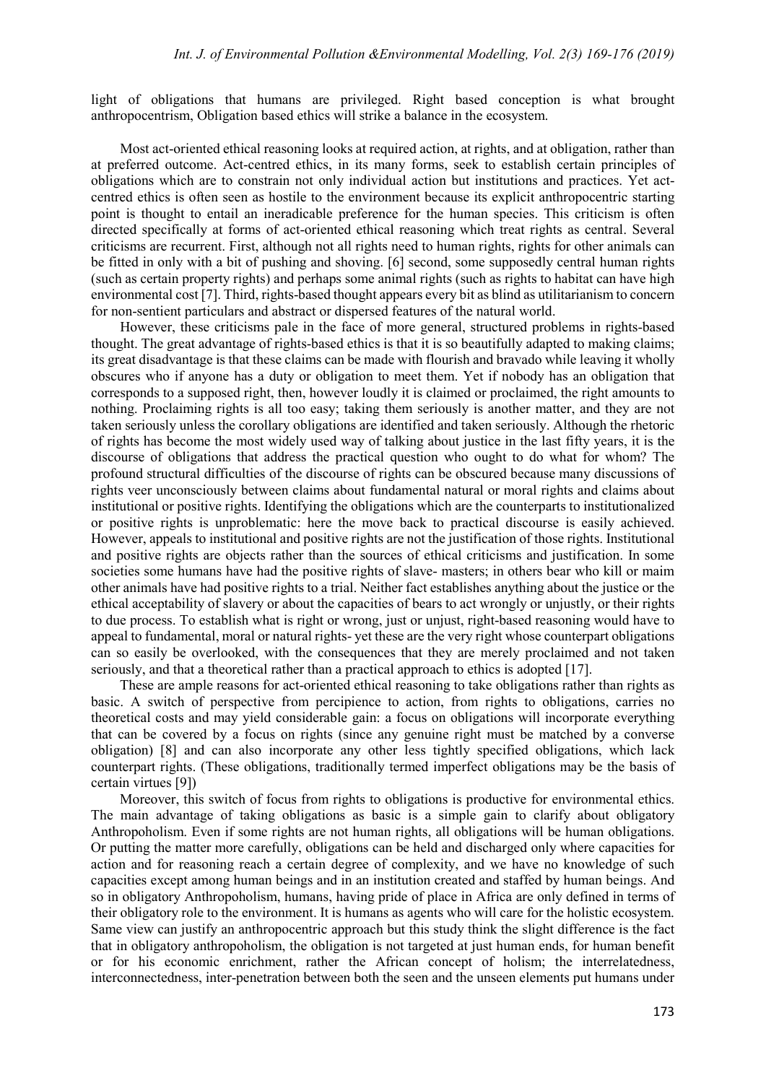light of obligations that humans are privileged. Right based conception is what brought anthropocentrism, Obligation based ethics will strike a balance in the ecosystem.

Most act-oriented ethical reasoning looks at required action, at rights, and at obligation, rather than at preferred outcome. Act-centred ethics, in its many forms, seek to establish certain principles of obligations which are to constrain not only individual action but institutions and practices. Yet actcentred ethics is often seen as hostile to the environment because its explicit anthropocentric starting point is thought to entail an ineradicable preference for the human species. This criticism is often directed specifically at forms of act-oriented ethical reasoning which treat rights as central. Several criticisms are recurrent. First, although not all rights need to human rights, rights for other animals can be fitted in only with a bit of pushing and shoving. [6] second, some supposedly central human rights (such as certain property rights) and perhaps some animal rights (such as rights to habitat can have high environmental cost [7]. Third, rights-based thought appears every bit as blind as utilitarianism to concern for non-sentient particulars and abstract or dispersed features of the natural world.

However, these criticisms pale in the face of more general, structured problems in rights-based thought. The great advantage of rights-based ethics is that it is so beautifully adapted to making claims; its great disadvantage is that these claims can be made with flourish and bravado while leaving it wholly obscures who if anyone has a duty or obligation to meet them. Yet if nobody has an obligation that corresponds to a supposed right, then, however loudly it is claimed or proclaimed, the right amounts to nothing. Proclaiming rights is all too easy; taking them seriously is another matter, and they are not taken seriously unless the corollary obligations are identified and taken seriously. Although the rhetoric of rights has become the most widely used way of talking about justice in the last fifty years, it is the discourse of obligations that address the practical question who ought to do what for whom? The profound structural difficulties of the discourse of rights can be obscured because many discussions of rights veer unconsciously between claims about fundamental natural or moral rights and claims about institutional or positive rights. Identifying the obligations which are the counterparts to institutionalized or positive rights is unproblematic: here the move back to practical discourse is easily achieved. However, appeals to institutional and positive rights are not the justification of those rights. Institutional and positive rights are objects rather than the sources of ethical criticisms and justification. In some societies some humans have had the positive rights of slave- masters; in others bear who kill or maim other animals have had positive rights to a trial. Neither fact establishes anything about the justice or the ethical acceptability of slavery or about the capacities of bears to act wrongly or unjustly, or their rights to due process. To establish what is right or wrong, just or unjust, right-based reasoning would have to appeal to fundamental, moral or natural rights- yet these are the very right whose counterpart obligations can so easily be overlooked, with the consequences that they are merely proclaimed and not taken seriously, and that a theoretical rather than a practical approach to ethics is adopted [17].

These are ample reasons for act-oriented ethical reasoning to take obligations rather than rights as basic. A switch of perspective from percipience to action, from rights to obligations, carries no theoretical costs and may yield considerable gain: a focus on obligations will incorporate everything that can be covered by a focus on rights (since any genuine right must be matched by a converse obligation) [8] and can also incorporate any other less tightly specified obligations, which lack counterpart rights. (These obligations, traditionally termed imperfect obligations may be the basis of certain virtues [9])

Moreover, this switch of focus from rights to obligations is productive for environmental ethics. The main advantage of taking obligations as basic is a simple gain to clarify about obligatory Anthropoholism. Even if some rights are not human rights, all obligations will be human obligations. Or putting the matter more carefully, obligations can be held and discharged only where capacities for action and for reasoning reach a certain degree of complexity, and we have no knowledge of such capacities except among human beings and in an institution created and staffed by human beings. And so in obligatory Anthropoholism, humans, having pride of place in Africa are only defined in terms of their obligatory role to the environment. It is humans as agents who will care for the holistic ecosystem. Same view can justify an anthropocentric approach but this study think the slight difference is the fact that in obligatory anthropoholism, the obligation is not targeted at just human ends, for human benefit or for his economic enrichment, rather the African concept of holism; the interrelatedness, interconnectedness, inter-penetration between both the seen and the unseen elements put humans under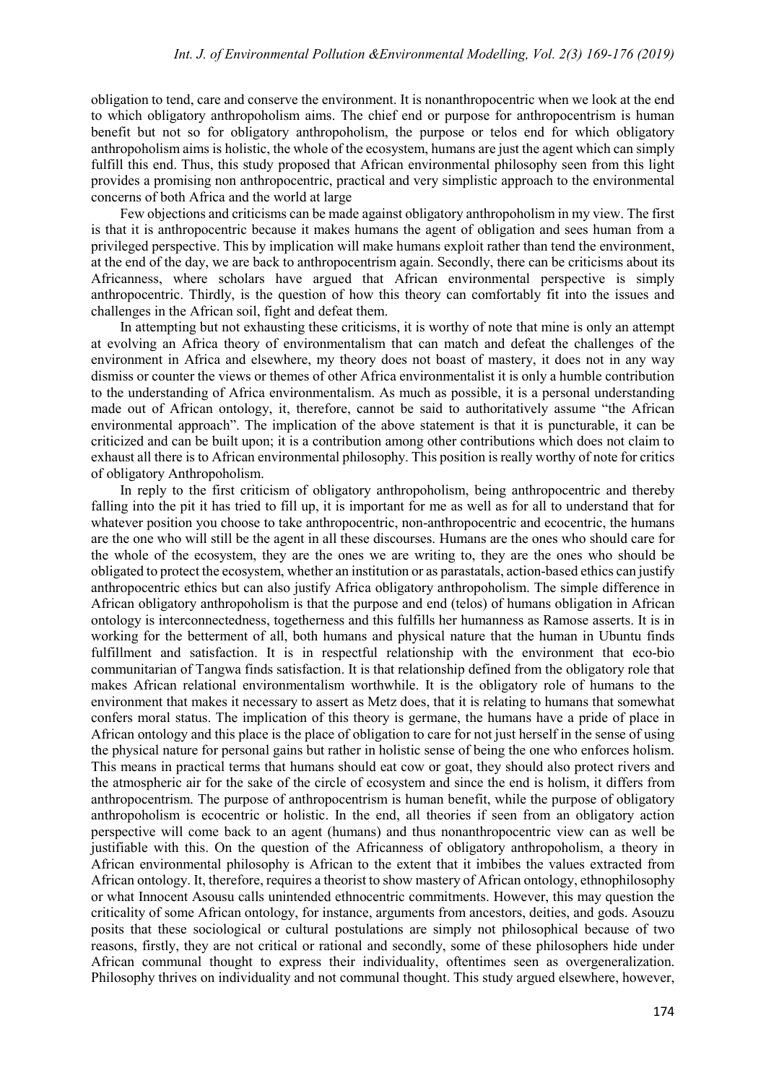obligation to tend, care and conserve the environment. It is nonanthropocentric when we look at the end to which obligatory anthropoholism aims. The chief end or purpose for anthropocentrism is human benefit but not so for obligatory anthropoholism, the purpose or telos end for which obligatory anthropoholism aims is holistic, the whole of the ecosystem, humans are just the agent which can simply fulfill this end. Thus, this study proposed that African environmental philosophy seen from this light provides a promising non anthropocentric, practical and very simplistic approach to the environmental concerns of both Africa and the world at large

Few objections and criticisms can be made against obligatory anthropoholism in my view. The first is that it is anthropocentric because it makes humans the agent of obligation and sees human from a privileged perspective. This by implication will make humans exploit rather than tend the environment, at the end of the day, we are back to anthropocentrism again. Secondly, there can be criticisms about its Africanness, where scholars have argued that African environmental perspective is simply anthropocentric. Thirdly, is the question of how this theory can comfortably fit into the issues and challenges in the African soil, fight and defeat them.

In attempting but not exhausting these criticisms, it is worthy of note that mine is only an attempt at evolving an Africa theory of environmentalism that can match and defeat the challenges of the environment in Africa and elsewhere, my theory does not boast of mastery, it does not in any way dismiss or counter the views or themes of other Africa environmentalist it is only a humble contribution to the understanding of Africa environmentalism. As much as possible, it is a personal understanding made out of African ontology, it, therefore, cannot be said to authoritatively assume "the African environmental approach". The implication of the above statement is that it is puncturable, it can be criticized and can be built upon; it is a contribution among other contributions which does not claim to exhaust all there is to African environmental philosophy. This position is really worthy of note for critics of obligatory Anthropoholism.

In reply to the first criticism of obligatory anthropoholism, being anthropocentric and thereby falling into the pit it has tried to fill up, it is important for me as well as for all to understand that for whatever position you choose to take anthropocentric, non-anthropocentric and ecocentric, the humans are the one who will still be the agent in all these discourses. Humans are the ones who should care for the whole of the ecosystem, they are the ones we are writing to, they are the ones who should be obligated to protect the ecosystem, whether an institution or as parastatals, action-based ethics can justify anthropocentric ethics but can also justify Africa obligatory anthropoholism. The simple difference in African obligatory anthropoholism is that the purpose and end (telos) of humans obligation in African ontology is interconnectedness, togetherness and this fulfills her humanness as Ramose asserts. It is in working for the betterment of all, both humans and physical nature that the human in Ubuntu finds fulfillment and satisfaction. It is in respectful relationship with the environment that eco-bio communitarian of Tangwa finds satisfaction. It is that relationship defined from the obligatory role that makes African relational environmentalism worthwhile. It is the obligatory role of humans to the environment that makes it necessary to assert as Metz does, that it is relating to humans that somewhat confers moral status. The implication of this theory is germane, the humans have a pride of place in African ontology and this place is the place of obligation to care for not just herself in the sense of using the physical nature for personal gains but rather in holistic sense of being the one who enforces holism. This means in practical terms that humans should eat cow or goat, they should also protect rivers and the atmospheric air for the sake of the circle of ecosystem and since the end is holism, it differs from anthropocentrism. The purpose of anthropocentrism is human benefit, while the purpose of obligatory anthropoholism is ecocentric or holistic. In the end, all theories if seen from an obligatory action perspective will come back to an agent (humans) and thus nonanthropocentric view can as well be justifiable with this. On the question of the Africanness of obligatory anthropoholism, a theory in African environmental philosophy is African to the extent that it imbibes the values extracted from African ontology. It, therefore, requires a theorist to show mastery of African ontology, ethnophilosophy or what Innocent Asousu calls unintended ethnocentric commitments. However, this may question the criticality of some African ontology, for instance, arguments from ancestors, deities, and gods. Asouzu posits that these sociological or cultural postulations are simply not philosophical because of two reasons, firstly, they are not critical or rational and secondly, some of these philosophers hide under African communal thought to express their individuality, oftentimes seen as overgeneralization. Philosophy thrives on individuality and not communal thought. This study argued elsewhere, however,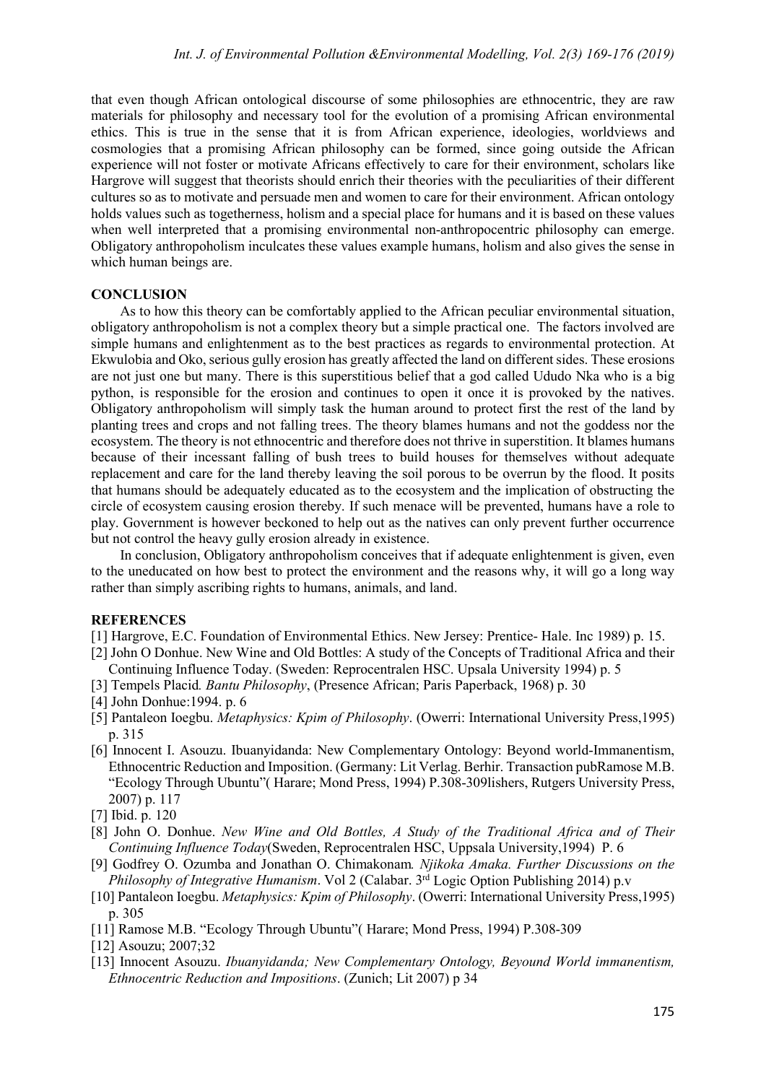that even though African ontological discourse of some philosophies are ethnocentric, they are raw materials for philosophy and necessary tool for the evolution of a promising African environmental ethics. This is true in the sense that it is from African experience, ideologies, worldviews and cosmologies that a promising African philosophy can be formed, since going outside the African experience will not foster or motivate Africans effectively to care for their environment, scholars like Hargrove will suggest that theorists should enrich their theories with the peculiarities of their different cultures so as to motivate and persuade men and women to care for their environment. African ontology holds values such as togetherness, holism and a special place for humans and it is based on these values when well interpreted that a promising environmental non-anthropocentric philosophy can emerge. Obligatory anthropoholism inculcates these values example humans, holism and also gives the sense in which human beings are.

## **CONCLUSION**

As to how this theory can be comfortably applied to the African peculiar environmental situation, obligatory anthropoholism is not a complex theory but a simple practical one. The factors involved are simple humans and enlightenment as to the best practices as regards to environmental protection. At Ekwulobia and Oko, serious gully erosion has greatly affected the land on different sides. These erosions are not just one but many. There is this superstitious belief that a god called Ududo Nka who is a big python, is responsible for the erosion and continues to open it once it is provoked by the natives. Obligatory anthropoholism will simply task the human around to protect first the rest of the land by planting trees and crops and not falling trees. The theory blames humans and not the goddess nor the ecosystem. The theory is not ethnocentric and therefore does not thrive in superstition. It blames humans because of their incessant falling of bush trees to build houses for themselves without adequate replacement and care for the land thereby leaving the soil porous to be overrun by the flood. It posits that humans should be adequately educated as to the ecosystem and the implication of obstructing the circle of ecosystem causing erosion thereby. If such menace will be prevented, humans have a role to play. Government is however beckoned to help out as the natives can only prevent further occurrence but not control the heavy gully erosion already in existence.

In conclusion, Obligatory anthropoholism conceives that if adequate enlightenment is given, even to the uneducated on how best to protect the environment and the reasons why, it will go a long way rather than simply ascribing rights to humans, animals, and land.

#### **REFERENCES**

- [1] Hargrove, E.C. Foundation of Environmental Ethics. New Jersey: Prentice- Hale. Inc 1989) p. 15.
- [2] John O Donhue. New Wine and Old Bottles: A study of the Concepts of Traditional Africa and their Continuing Influence Today. (Sweden: Reprocentralen HSC. Upsala University 1994) p. 5
- [3] Tempels Placid*. Bantu Philosophy*, (Presence African; Paris Paperback, 1968) p. 30
- [4] John Donhue:1994. p. 6
- [5] Pantaleon Ioegbu. *Metaphysics: Kpim of Philosophy*. (Owerri: International University Press,1995) p. 315
- [6] Innocent I. Asouzu. Ibuanyidanda: New Complementary Ontology: Beyond world-Immanentism, Ethnocentric Reduction and Imposition. (Germany: Lit Verlag. Berhir. Transaction pubRamose M.B. "Ecology Through Ubuntu"( Harare; Mond Press, 1994) P.308-309lishers, Rutgers University Press, 2007) p. 117
- [7] Ibid. p. 120
- [8] John O. Donhue. *New Wine and Old Bottles, A Study of the Traditional Africa and of Their Continuing Influence Today*(Sweden, Reprocentralen HSC, Uppsala University,1994) P. 6
- [9] Godfrey O. Ozumba and Jonathan O. Chimakonam*. Njikoka Amaka. Further Discussions on the Philosophy of Integrative Humanism.* Vol 2 (Calabar. 3<sup>rd</sup> Logic Option Publishing 2014) p.v
- [10] Pantaleon Ioegbu. *Metaphysics: Kpim of Philosophy*. (Owerri: International University Press,1995) p. 305
- [11] Ramose M.B. "Ecology Through Ubuntu"( Harare; Mond Press, 1994) P.308-309
- [12] Asouzu; 2007;32
- [13] Innocent Asouzu. *Ibuanyidanda; New Complementary Ontology, Beyound World immanentism, Ethnocentric Reduction and Impositions*. (Zunich; Lit 2007) p 34